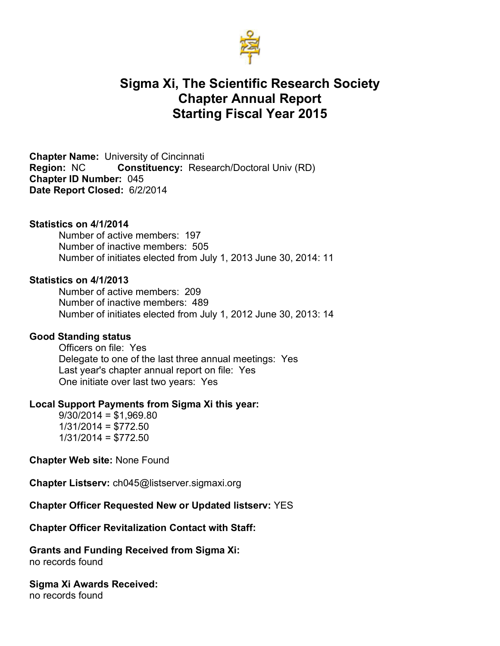

# **Sigma Xi, The Scientific Research Society Chapter Annual Report Starting Fiscal Year 2015**

**Chapter Name:** University of Cincinnati **Region:** NC **Constituency:** Research/Doctoral Univ (RD) **Chapter ID Number:** 045 **Date Report Closed:** 6/2/2014

#### **Statistics on 4/1/2014**

Number of active members: 197 Number of inactive members: 505 Number of initiates elected from July 1, 2013 June 30, 2014: 11

#### **Statistics on 4/1/2013**

Number of active members: 209 Number of inactive members: 489 Number of initiates elected from July 1, 2012 June 30, 2013: 14

#### **Good Standing status**

Officers on file: Yes Delegate to one of the last three annual meetings: Yes Last year's chapter annual report on file: Yes One initiate over last two years: Yes

#### **Local Support Payments from Sigma Xi this year:**

 $9/30/2014 = $1,969.80$  $1/31/2014 = $772.50$  $1/31/2014 = $772.50$ 

**Chapter Web site:** None Found

**Chapter Listserv:** ch045@listserver.sigmaxi.org

#### **Chapter Officer Requested New or Updated listserv:** YES

#### **Chapter Officer Revitalization Contact with Staff:**

**Grants and Funding Received from Sigma Xi:**  no records found

**Sigma Xi Awards Received:** no records found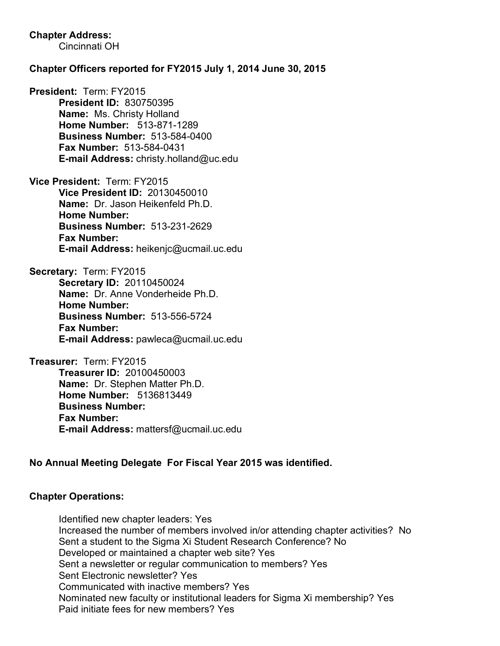# **Chapter Address:**

Cincinnati OH

## **Chapter Officers reported for FY2015 July 1, 2014 June 30, 2015**

**President:** Term: FY2015 **President ID:** 830750395 **Name:** Ms. Christy Holland **Home Number:** 513-871-1289 **Business Number:** 513-584-0400 **Fax Number:** 513-584-0431 **E-mail Address:** christy.holland@uc.edu

**Vice President:** Term: FY2015 **Vice President ID:** 20130450010 **Name:** Dr. Jason Heikenfeld Ph.D. **Home Number: Business Number:** 513-231-2629 **Fax Number: E-mail Address:** heikenjc@ucmail.uc.edu

**Secretary:** Term: FY2015 **Secretary ID:** 20110450024 **Name:** Dr. Anne Vonderheide Ph.D. **Home Number: Business Number:** 513-556-5724 **Fax Number: E-mail Address:** pawleca@ucmail.uc.edu

**Treasurer:** Term: FY2015 **Treasurer ID:** 20100450003 **Name:** Dr. Stephen Matter Ph.D. **Home Number:** 5136813449 **Business Number: Fax Number: E-mail Address:** mattersf@ucmail.uc.edu

# **No Annual Meeting Delegate For Fiscal Year 2015 was identified.**

### **Chapter Operations:**

Identified new chapter leaders: Yes Increased the number of members involved in/or attending chapter activities? No Sent a student to the Sigma Xi Student Research Conference? No Developed or maintained a chapter web site? Yes Sent a newsletter or regular communication to members? Yes Sent Electronic newsletter? Yes Communicated with inactive members? Yes Nominated new faculty or institutional leaders for Sigma Xi membership? Yes Paid initiate fees for new members? Yes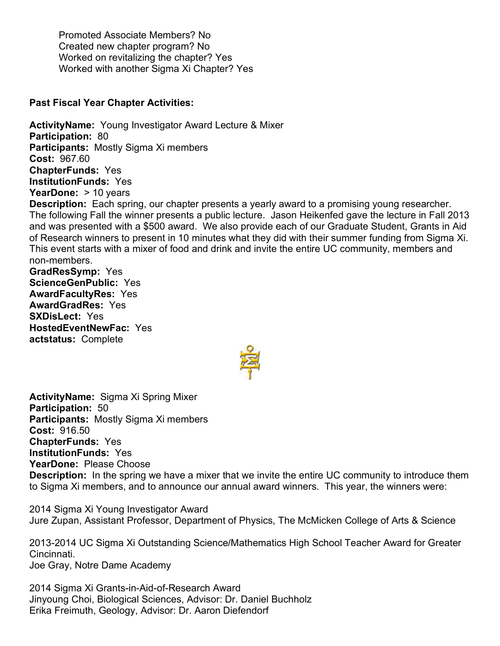Promoted Associate Members? No Created new chapter program? No Worked on revitalizing the chapter? Yes Worked with another Sigma Xi Chapter? Yes

## **Past Fiscal Year Chapter Activities:**

**ActivityName:** Young Investigator Award Lecture & Mixer **Participation:** 80 **Participants:** Mostly Sigma Xi members **Cost:** 967.60 **ChapterFunds:** Yes **InstitutionFunds:** Yes **YearDone:** > 10 years **Description:** Each spring, our chapter presents a yearly award to a promising young researcher. The following Fall the winner presents a public lecture. Jason Heikenfed gave the lecture in Fall 2013 and was presented with a \$500 award. We also provide each of our Graduate Student, Grants in Aid of Research winners to present in 10 minutes what they did with their summer funding from Sigma Xi. This event starts with a mixer of food and drink and invite the entire UC community, members and non-members.

**GradResSymp:** Yes **ScienceGenPublic:** Yes **AwardFacultyRes:** Yes **AwardGradRes:** Yes **SXDisLect:** Yes **HostedEventNewFac:** Yes **actstatus:** Complete



**ActivityName:** Sigma Xi Spring Mixer **Participation:** 50 **Participants:** Mostly Sigma Xi members **Cost:** 916.50 **ChapterFunds:** Yes **InstitutionFunds:** Yes **YearDone:** Please Choose **Description:** In the spring we have a mixer that we invite the entire UC community to introduce them to Sigma Xi members, and to announce our annual award winners. This year, the winners were:

2014 Sigma Xi Young Investigator Award Jure Zupan, Assistant Professor, Department of Physics, The McMicken College of Arts & Science

2013-2014 UC Sigma Xi Outstanding Science/Mathematics High School Teacher Award for Greater Cincinnati. Joe Gray, Notre Dame Academy

2014 Sigma Xi Grants-in-Aid-of-Research Award Jinyoung Choi, Biological Sciences, Advisor: Dr. Daniel Buchholz Erika Freimuth, Geology, Advisor: Dr. Aaron Diefendorf